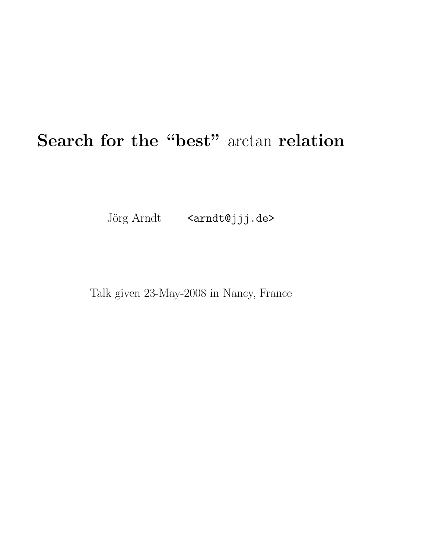# Search for the "best" arctan relation

Jörg Arndt <arndt@jjj.de>

Talk given 23-May-2008 in Nancy, France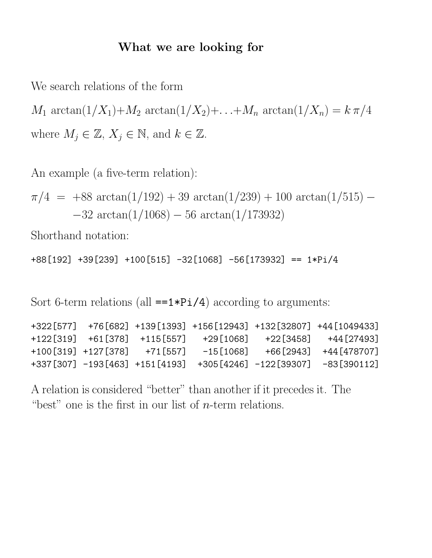#### What we are looking for

We search relations of the form

 $M_1 \arctan(1/X_1) + M_2 \arctan(1/X_2) + ... + M_n \arctan(1/X_n) = k \pi/4$ where  $M_j \in \mathbb{Z}, X_j \in \mathbb{N}$ , and  $k \in \mathbb{Z}$ .

An example (a five-term relation):

```
\pi/4 = +88 arctan(1/192) + 39 arctan(1/239) + 100 arctan(1/515) –
        -32 \arctan(1/1068) - 56 \arctan(1/173932)
```
Shorthand notation:

+88[192] +39[239] +100[515] -32[1068] -56[173932] == 1\*Pi/4

Sort 6-term relations (all  $==1*Pi/4$ ) according to arguments:

| $+322[577]$ $+76[682]$ $+139[1393]$ $+156[12943]$ $+132[32807]$ $+44[1049433]$                                                                                                                                                      |  |                              |  |
|-------------------------------------------------------------------------------------------------------------------------------------------------------------------------------------------------------------------------------------|--|------------------------------|--|
| $+122\begin{bmatrix}319\end{bmatrix}$ $+61\begin{bmatrix}378\end{bmatrix}$ $+115\begin{bmatrix}557\end{bmatrix}$ $+29\begin{bmatrix}1068\end{bmatrix}$ $+22\begin{bmatrix}3458\end{bmatrix}$ $+44\begin{bmatrix}27493\end{bmatrix}$ |  |                              |  |
| $-15[1068]$ $+66[2943]$ $+44[478707]$                                                                                                                                                                                               |  | +100[319] +127[378] +71[557] |  |
| $+337 [307] -193 [463] +151 [4193] +305 [4246] -122 [39307] -83 [390112]$                                                                                                                                                           |  |                              |  |

A relation is considered "better" than another if it precedes it. The "best" one is the first in our list of  $n$ -term relations.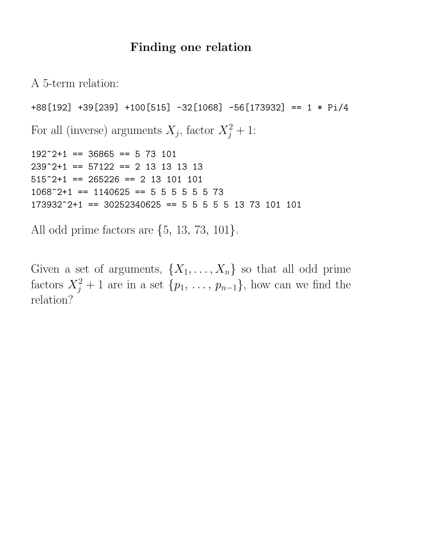#### Finding one relation

A 5-term relation:

```
+88[192] +39[239] +100[515] -32[1068] -56[173932] == 1 * Pi/4
For all (inverse) arguments X_j, factor X_j^2 + 1:
192^{\degree}2+1 == 36865 == 5 73 101
239^{\degree}2+1 == 57122 == 2 13 13 13 13
515^{\degree}2+1 == 265226 == 2 13 101 101
1068^{\degree}2+1 == 1140625 == 5 5 5 5 5 5 5 73
173932^2+1 == 30252340625 == 5 5 5 5 5 13 73 101 101
```
All odd prime factors are {5, 13, 73, 101}.

Given a set of arguments,  $\{X_1, \ldots, X_n\}$  so that all odd prime factors  $X_j^2 + 1$  are in a set  $\{p_1, \ldots, p_{n-1}\}$ , how can we find the relation?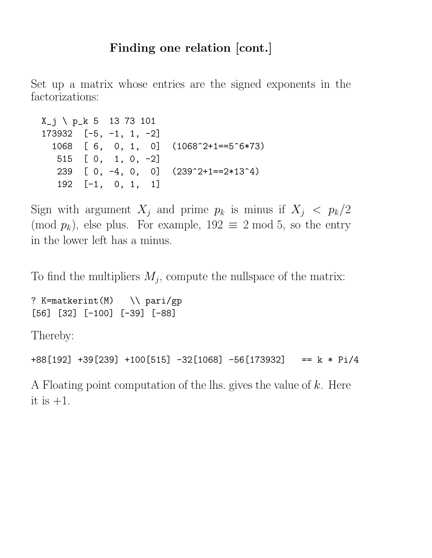### Finding one relation [cont.]

Set up a matrix whose entries are the signed exponents in the factorizations:

```
X_j \ p_k 5 13 73 101
173932 [-5, -1, 1, -2]
  1068 [ 6, 0, 1, 0] (1068^2+1==5^6*73)
  515 [ 0, 1, 0, -2]
  239 [ 0, -4, 0, 0] (239^2+1==2*13^4)
  192 [-1, 0, 1, 1]
```
Sign with argument  $X_j$  and prime  $p_k$  is minus if  $X_j < p_k/2$ (mod  $p_k$ ), else plus. For example,  $192 \equiv 2 \mod 5$ , so the entry in the lower left has a minus.

To find the multipliers  $M_j$ , compute the nullspace of the matrix:

? K=matkerint(M) \\ pari/gp [56] [32] [-100] [-39] [-88]

Thereby:

```
+88[192] +39[239] +100[515] -32[1068] -56[173932] == k * Pi/4
```
A Floating point computation of the lhs. gives the value of  $k$ . Here it is  $+1$ .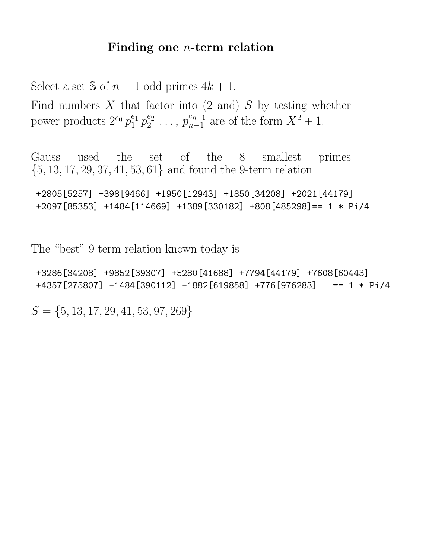#### Finding one n-term relation

Select a set  $\Im$  of  $n-1$  odd primes  $4k+1$ .

Find numbers  $X$  that factor into  $(2 \text{ and}) S$  by testing whether power products  $2^{e_0} p_1^{e_1}$  $^{e_1}_{1}p_2^{e_2}$  $e_2^{e_2} \ldots, p_{n-1}^{e_{n-1}}$  $_{n-1}^{e_{n-1}}$  are of the form  $X^2 + 1$ .

Gauss used the set of the 8 smallest primes  $\{5, 13, 17, 29, 37, 41, 53, 61\}$  and found the 9-term relation

```
+2805[5257] -398[9466] +1950[12943] +1850[34208] +2021[44179]
+2097[85353] +1484[114669] +1389[330182] +808[485298]== 1 * Pi/4
```
The "best" 9-term relation known today is

+3286[34208] +9852[39307] +5280[41688] +7794[44179] +7608[60443] +4357[275807] -1484[390112] -1882[619858] +776[976283] == 1 \* Pi/4

 $S = \{5, 13, 17, 29, 41, 53, 97, 269\}$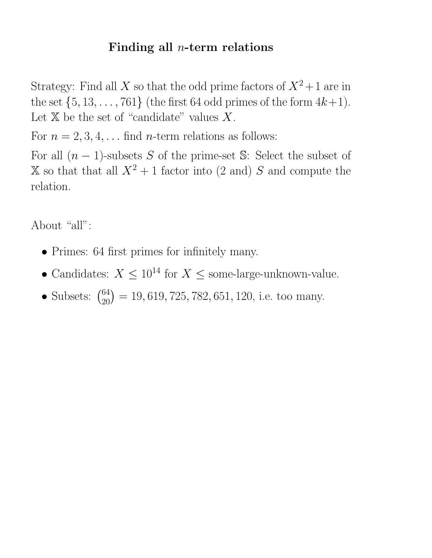### Finding all  $n$ -term relations

Strategy: Find all X so that the odd prime factors of  $X^2+1$  are in the set  $\{5, 13, \ldots, 761\}$  (the first 64 odd primes of the form  $4k+1$ ). Let  $X$  be the set of "candidate" values X.

For  $n = 2, 3, 4, \ldots$  find *n*-term relations as follows:

For all  $(n-1)$ -subsets S of the prime-set S: Select the subset of  $X$  so that that all  $X^2 + 1$  factor into (2 and) S and compute the relation.

About "all":

- Primes: 64 first primes for infinitely many.
- Candidates:  $X \leq 10^{14}$  for  $X \leq$  some-large-unknown-value.
- Subsets:  $\binom{64}{20} = 19,619,725,782,651,120$ , i.e. too many.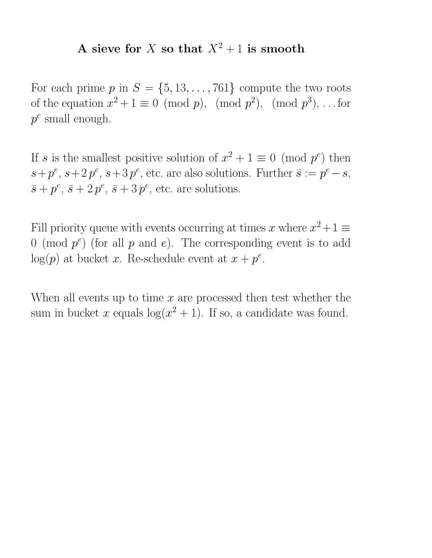### A sieve for X so that  $X^2 + 1$  is smooth

For each prime  $p$  in  $S = \{5, 13, \ldots, 761\}$  compute the two roots of the equation  $x^2 + 1 \equiv 0 \pmod{p}$ ,  $p^2$ ,  $p^3$ , ... for  $p^e$  small enough.

If s is the smallest positive solution of  $x^2 + 1 \equiv 0 \pmod{p^e}$  then  $s+p^e$ ,  $s+2p^e$ ,  $s+3p^e$ , etc. are also solutions. Further  $\bar{s} := p^e - s$ ,  $\bar{s} + p^e$ ,  $\bar{s} + 2p^e$ ,  $\bar{s} + 3p^e$ , etc. are solutions.

Fill priority queue with events occurring at times x where  $x^2 + 1 \equiv$ 0 (mod  $p^e$ ) (for all p and e). The corresponding event is to add  $log(p)$  at bucket x. Re-schedule event at  $x + p^e$ .

When all events up to time  $x$  are processed then test whether the sum in bucket x equals  $log(x^2 + 1)$ . If so, a candidate was found.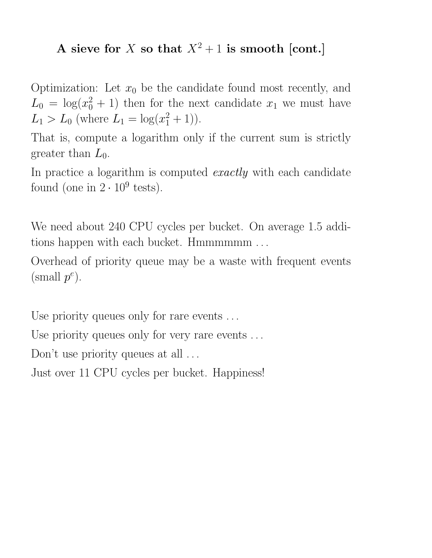### A sieve for X so that  $X^2 + 1$  is smooth [cont.]

Optimization: Let  $x_0$  be the candidate found most recently, and  $L_0 = \log(x_0^2 + 1)$  then for the next candidate  $x_1$  we must have  $L_1 > L_0$  (where  $L_1 = \log(x_1^2 + 1)$ ).

That is, compute a logarithm only if the current sum is strictly greater than  $L_0$ .

In practice a logarithm is computed *exactly* with each candidate found (one in  $2 \cdot 10^9$  tests).

We need about 240 CPU cycles per bucket. On average 1.5 additions happen with each bucket. Hmmmmmm ...

Overhead of priority queue may be a waste with frequent events  $(\text{small } p^e).$ 

Use priority queues only for rare events ...

Use priority queues only for very rare events ...

Don't use priority queues at all ...

Just over 11 CPU cycles per bucket. Happiness!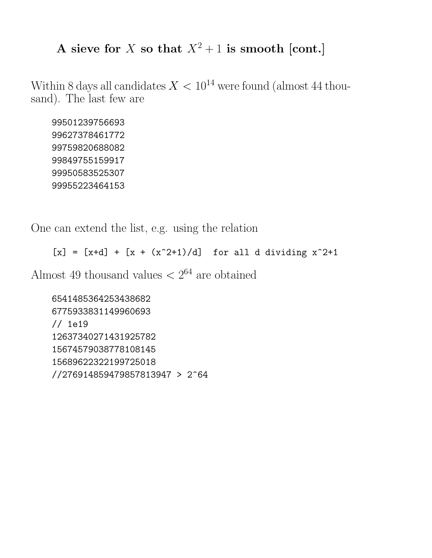### A sieve for X so that  $X^2 + 1$  is smooth [cont.]

Within 8 days all candidates  $X < 10^{14}$  were found (almost 44 thousand). The last few are

99501239756693 99627378461772 99759820688082 99849755159917 99950583525307 99955223464153

One can extend the list, e.g. using the relation

 $[x] = [x+d] + [x + (x^2+1)/d]$  for all d dividing  $x^2+1$ 

Almost 49 thousand values  $\langle 2^{64} \rangle$  are obtained

6541485364253438682 6775933831149960693 // 1e19 12637340271431925782 15674579038778108145 15689622322199725018 //276914859479857813947 > 2^64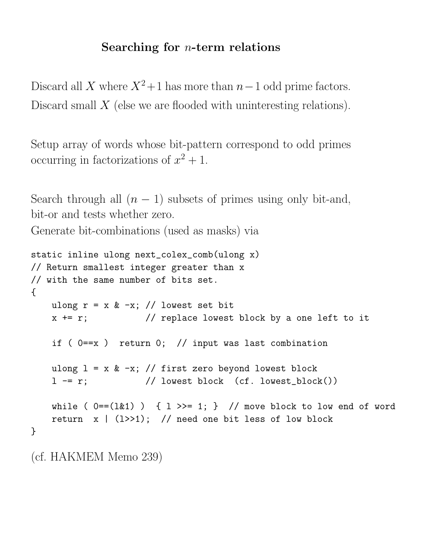### Searching for  $n$ -term relations

Discard all X where  $X^2+1$  has more than  $n-1$  odd prime factors. Discard small  $X$  (else we are flooded with uninteresting relations).

Setup array of words whose bit-pattern correspond to odd primes occurring in factorizations of  $x^2 + 1$ .

Search through all  $(n - 1)$  subsets of primes using only bit-and, bit-or and tests whether zero.

Generate bit-combinations (used as masks) via

```
static inline ulong next_colex_comb(ulong x)
// Return smallest integer greater than x
// with the same number of bits set.
{
   ulong r = x & -x; // lowest set bit
   x += r; \frac{1}{x} // replace lowest block by a one left to it
    if ( 0 = x ) return 0; // input was last combination
   ulong l = x & -x; // first zero beyond lowest block
    l - = r; // lowest block (cf. lowest_block())
   while ( 0 = -(121) ) { 1 \gg = 1; } // move block to low end of word
   return x \mid (1>>1); // need one bit less of low block
}
```
(cf. HAKMEM Memo 239)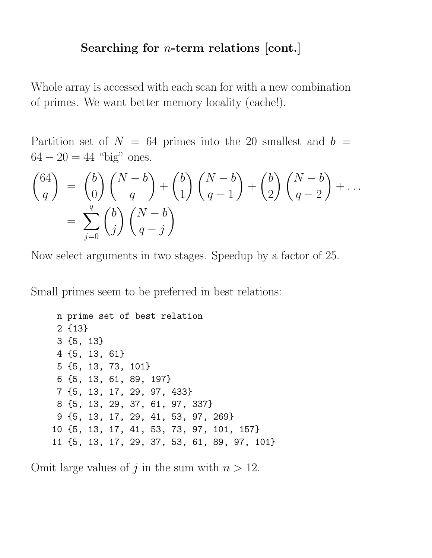#### Searching for  $n$ -term relations [cont.]

Whole array is accessed with each scan for with a new combination of primes. We want better memory locality (cache!).

Partition set of  $N = 64$  primes into the 20 smallest and  $b =$  $64 - 20 = 44$  "big" ones.

$$
\binom{64}{q} = \binom{b}{0} \binom{N-b}{q} + \binom{b}{1} \binom{N-b}{q-1} + \binom{b}{2} \binom{N-b}{q-2} + \dots
$$

$$
= \sum_{j=0}^{q} \binom{b}{j} \binom{N-b}{q-j}
$$

Now select arguments in two stages. Speedup by a factor of 25.

Small primes seem to be preferred in best relations:

```
n prime set of best relation
2 {13}
3 {5, 13}
4 {5, 13, 61}
5 {5, 13, 73, 101}
6 {5, 13, 61, 89, 197}
7 {5, 13, 17, 29, 97, 433}
8 {5, 13, 29, 37, 61, 97, 337}
9 {5, 13, 17, 29, 41, 53, 97, 269}
10 {5, 13, 17, 41, 53, 73, 97, 101, 157}
11 {5, 13, 17, 29, 37, 53, 61, 89, 97, 101}
```
Omit large values of j in the sum with  $n > 12$ .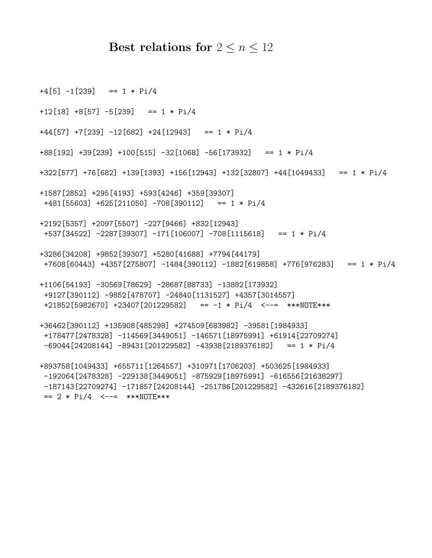#### Best relations for  $2 \leq n \leq 12$

 $+4[5] -1[239] = 1 * Pi/4$  $+12[18]$   $+8[57]$   $-5[239]$  == 1 \* Pi/4  $+44[57]$   $+7[239]$   $-12[682]$   $+24[12943]$  == 1 \* Pi/4 +88[192] +39[239] +100[515] -32[1068] -56[173932] == 1 \* Pi/4 +322[577] +76[682] +139[1393] +156[12943] +132[32807] +44[1049433] == 1 \* Pi/4 +1587[2852] +295[4193] +593[4246] +359[39307] +481[55603] +625[211050] -708[390112] == 1 \* Pi/4 +2192[5357] +2097[5507] -227[9466] +832[12943] +537[34522] -2287[39307] -171[106007] -708[1115618] == 1 \* Pi/4 +3286[34208] +9852[39307] +5280[41688] +7794[44179] +7608[60443] +4357[275807] -1484[390112] -1882[619858] +776[976283] == 1 \* Pi/4 +1106[54193] -30569[78629] -28687[88733] -13882[173932] +9127[390112] -9852[478707] -24840[1131527] +4357[3014557] +21852[5982670] +23407[201229582] == -1 \* Pi/4 <--= \*\*\*NOTE\*\*\* +36462[390112] +135908[485298] +274509[683982] -39581[1984933] +178477[2478328] -114569[3449051] -146571[18975991] +61914[22709274]  $-69044$ [24208144]  $-89431$ [201229582]  $-43938$ [2189376182] == 1 \* Pi/4 +893758[1049433] +655711[1264557] +310971[1706203] +503625[1984933] -192064[2478328] -229138[3449051] -875929[18975991] -616556[21638297] -187143[22709274] -171857[24208144] -251786[201229582] -432616[2189376182]  $== 2 * Pi/4$  <--= \*\*\*NOTE\*\*\*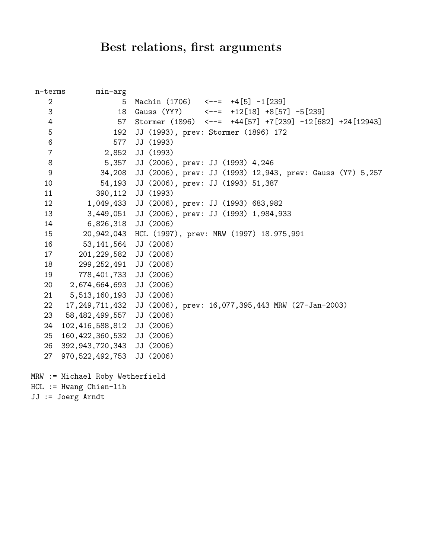## Best relations, first arguments

| n-terms          | min-arg                         |                                                                    |
|------------------|---------------------------------|--------------------------------------------------------------------|
| $\overline{2}$   | 5                               | Machin (1706) $\leftarrow$ --= $+4[5]$ -1[239]                     |
| 3                | 18                              | Gauss (YY?) $\leftarrow - = +12[18] + 8[57] - 5[239]$              |
| 4                | 57                              | Stormer (1896) $\leftarrow$ -= +44[57] +7[239] -12[682] +24[12943] |
| 5                | 192                             | JJ (1993), prev: Stormer (1896) 172                                |
| $\,6$            | 577                             | JJ (1993)                                                          |
| $\overline{7}$   | 2,852                           | JJ (1993)                                                          |
| $\,8\,$          | 5,357                           | JJ (2006), prev: JJ (1993) 4,246                                   |
| $\boldsymbol{9}$ | 34,208                          | JJ (2006), prev: JJ (1993) 12,943, prev: Gauss (Y?) 5,257          |
| 10               | 54,193                          | JJ (2006), prev: JJ (1993) 51,387                                  |
| 11               | 390,112                         | JJ (1993)                                                          |
| 12               | 1,049,433                       | JJ (2006), prev: JJ (1993) 683,982                                 |
| 13               | 3,449,051                       | JJ (2006), prev: JJ (1993) 1,984,933                               |
| 14               | 6,826,318                       | JJ (2006)                                                          |
| 15               | 20,942,043                      | HCL (1997), prev: MRW (1997) 18.975,991                            |
| 16               | 53,141,564                      | JJ (2006)                                                          |
| 17               | 201, 229, 582                   | JJ (2006)                                                          |
| 18               | 299, 252, 491                   | JJ (2006)                                                          |
| 19               | 778,401,733                     | JJ (2006)                                                          |
| 20               | 2,674,664,693                   | JJ (2006)                                                          |
| 21               | 5,513,160,193                   | JJ (2006)                                                          |
| 22               | 17,249,711,432                  | JJ (2006), prev: 16,077,395,443 MRW (27-Jan-2003)                  |
| 23               | 58,482,499,557                  | JJ (2006)                                                          |
| 24               | 102,416,588,812                 | JJ (2006)                                                          |
| 25               | 160, 422, 360, 532              | JJ (2006)                                                          |
| 26               | 392, 943, 720, 343              | JJ (2006)                                                          |
| 27               | 970, 522, 492, 753              | JJ (2006)                                                          |
|                  | MRW := Michael Roby Wetherfield |                                                                    |
|                  | $HCL := Hwang Chien-1ih$        |                                                                    |
|                  | $JJ := Joerg Arndt$             |                                                                    |
|                  |                                 |                                                                    |